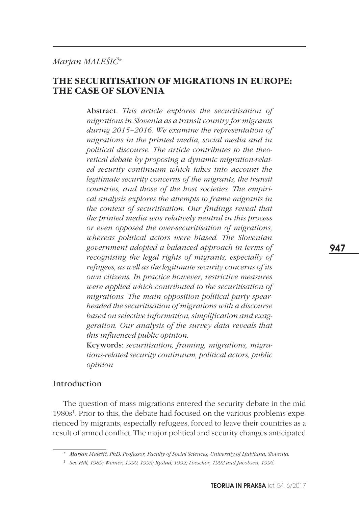# *Marjan MALEŠIČ\**

## **THE SECURITISATION OF MIGRATIONS IN EUROPE: THE CASE OF SLOVENIA**

Abstract. *This article explores the securitisation of migrations in Slovenia as a transit country for migrants during 2015–2016. We examine the representation of migrations in the printed media, social media and in political discourse. The article contributes to the theoretical debate by proposing a dynamic migration-related security continuum which takes into account the legitimate security concerns of the migrants, the transit countries, and those of the host societies. The empirical analysis explores the attempts to frame migrants in the context of securitisation. Our findings reveal that the printed media was relatively neutral in this process or even opposed the over-securitisation of migrations, whereas political actors were biased. The Slovenian government adopted a balanced approach in terms of recognising the legal rights of migrants, especially of refugees, as well as the legitimate security concerns of its own citizens. In practice however, restrictive measures were applied which contributed to the securitisation of migrations. The main opposition political party spearheaded the securitisation of migrations with a discourse based on selective information, simplification and exaggeration. Our analysis of the survey data reveals that this influenced public opinion.*

Keywords: *securitisation, framing, migrations, migrations-related security continuum, political actors, public opinion*

## Introduction

The question of mass migrations entered the security debate in the mid 1980s<sup>1</sup>. Prior to this, the debate had focused on the various problems experienced by migrants, especially refugees, forced to leave their countries as a result of armed conflict. The major political and security changes anticipated 947

*<sup>\*</sup> Marjan Malešič, PhD, Professor, Faculty of Social Sciences, University of Ljubljana, Slovenia.* 

*<sup>1</sup> See Hill, 1989; Weiner, 1990, 1993; Rystad, 1992; Loescher, 1992 and Jacobsen, 1996.*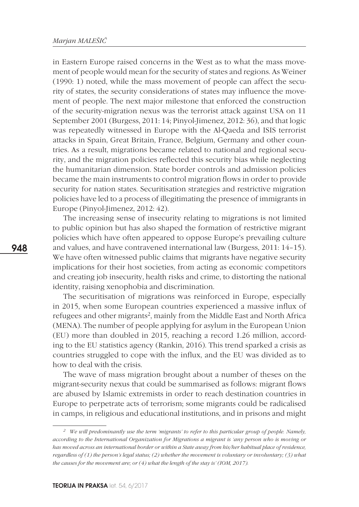in Eastern Europe raised concerns in the West as to what the mass movement of people would mean for the security of states and regions. As Weiner (1990: 1) noted, while the mass movement of people can affect the security of states, the security considerations of states may influence the movement of people. The next major milestone that enforced the construction of the security-migration nexus was the terrorist attack against USA on 11 September 2001 (Burgess, 2011: 14; Pinyol-Jimenez, 2012: 36), and that logic was repeatedly witnessed in Europe with the Al-Qaeda and ISIS terrorist attacks in Spain, Great Britain, France, Belgium, Germany and other countries. As a result, migrations became related to national and regional security, and the migration policies reflected this security bias while neglecting the humanitarian dimension. State border controls and admission policies became the main instruments to control migration flows in order to provide security for nation states. Securitisation strategies and restrictive migration policies have led to a process of illegitimating the presence of immigrants in Europe (Pinyol-Jimenez, 2012: 42).

The increasing sense of insecurity relating to migrations is not limited to public opinion but has also shaped the formation of restrictive migrant policies which have often appeared to oppose Europe's prevailing culture and values, and have contravened international law (Burgess, 2011: 14–15). We have often witnessed public claims that migrants have negative security implications for their host societies, from acting as economic competitors and creating job insecurity, health risks and crime, to distorting the national identity, raising xenophobia and discrimination.

The securitisation of migrations was reinforced in Europe, especially in 2015, when some European countries experienced a massive influx of refugees and other migrants<sup>2</sup>, mainly from the Middle East and North Africa (MENA). The number of people applying for asylum in the European Union (EU) more than doubled in 2015, reaching a record 1.26 million, according to the EU statistics agency (Rankin, 2016). This trend sparked a crisis as countries struggled to cope with the influx, and the EU was divided as to how to deal with the crisis.

The wave of mass migration brought about a number of theses on the migrant-security nexus that could be summarised as follows: migrant flows are abused by Islamic extremists in order to reach destination countries in Europe to perpetrate acts of terrorism; some migrants could be radicalised in camps, in religious and educational institutions, and in prisons and might

*<sup>2</sup> We will predominantly use the term 'migrants' to refer to this particular group of people. Namely, according to the International Organization for Migrations a migrant is 'any person who is moving or has moved across an international border or within a State away from his/her habitual place of residence, regardless of (1) the person's legal status; (2) whether the movement is voluntary or involuntary; (3) what the causes for the movement are; or (4) what the length of the stay is' (IOM, 2017).*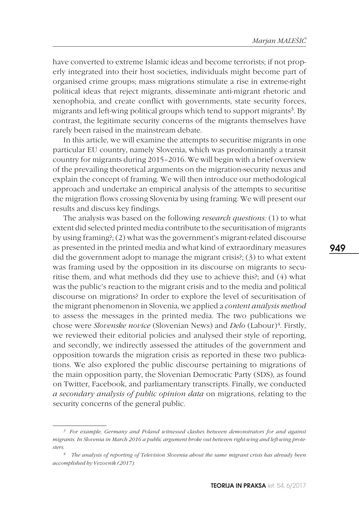have converted to extreme Islamic ideas and become terrorists; if not properly integrated into their host societies, individuals might become part of organised crime groups; mass migrations stimulate a rise in extreme-right political ideas that reject migrants, disseminate anti-migrant rhetoric and xenophobia, and create conflict with governments, state security forces, migrants and left-wing political groups which tend to support migrants<sup>3</sup>. By contrast, the legitimate security concerns of the migrants themselves have rarely been raised in the mainstream debate.

In this article, we will examine the attempts to securitise migrants in one particular EU country, namely Slovenia, which was predominantly a transit country for migrants during 2015–2016. We will begin with a brief overview of the prevailing theoretical arguments on the migration-security nexus and explain the concept of framing. We will then introduce our methodological approach and undertake an empirical analysis of the attempts to securitise the migration flows crossing Slovenia by using framing. We will present our results and discuss key findings.

The analysis was based on the following *research questions:* (1) to what extent did selected printed media contribute to the securitisation of migrants by using framing?; (2) what was the government's migrant-related discourse as presented in the printed media and what kind of extraordinary measures did the government adopt to manage the migrant crisis?; (3) to what extent was framing used by the opposition in its discourse on migrants to securitise them, and what methods did they use to achieve this?; and (4) what was the public's reaction to the migrant crisis and to the media and political discourse on migrations? In order to explore the level of securitisation of the migrant phenomenon in Slovenia, we applied a *content analysis method* to assess the messages in the printed media. The two publications we chose were *Slovenske novice* (Slovenian News) and *Delo* (Labour)<sup>4</sup>. Firstly, we reviewed their editorial policies and analysed their style of reporting, and secondly, we indirectly assessed the attitudes of the government and opposition towards the migration crisis as reported in these two publications. We also explored the public discourse pertaining to migrations of the main opposition party, the Slovenian Democratic Party (SDS), as found on Twitter, Facebook, and parliamentary transcripts. Finally, we conducted *a secondary analysis of public opinion data* on migrations, relating to the security concerns of the general public.

*<sup>3</sup> For example, Germany and Poland witnessed clashes between demonstrators for and against migrants. In Slovenia in March 2016 a public argument broke out between right-wing and left-wing protesters.*

*<sup>4</sup> The analysis of reporting of Television Slovenia about the same migrant crisis has already been accomplished by Vezovnik (2017).*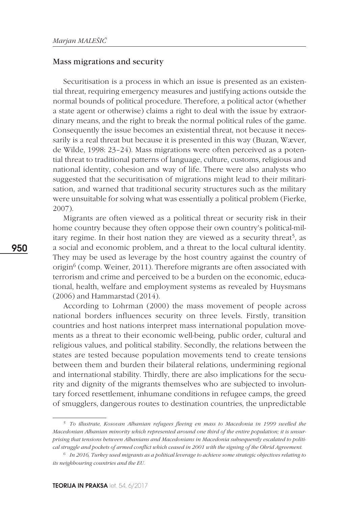#### Mass migrations and security

Securitisation is a process in which an issue is presented as an existential threat, requiring emergency measures and justifying actions outside the normal bounds of political procedure. Therefore, a political actor (whether a state agent or otherwise) claims a right to deal with the issue by extraordinary means, and the right to break the normal political rules of the game. Consequently the issue becomes an existential threat, not because it necessarily is a real threat but because it is presented in this way (Buzan, Wæver, de Wilde, 1998: 23–24). Mass migrations were often perceived as a potential threat to traditional patterns of language, culture, customs, religious and national identity, cohesion and way of life. There were also analysts who suggested that the securitisation of migrations might lead to their militarisation, and warned that traditional security structures such as the military were unsuitable for solving what was essentially a political problem (Fierke, 2007).

Migrants are often viewed as a political threat or security risk in their home country because they often oppose their own country's political-military regime. In their host nation they are viewed as a security threat<sup>5</sup>, as a social and economic problem, and a threat to the local cultural identity. They may be used as leverage by the host country against the country of origin $^6$  (comp. Weiner, 2011). Therefore migrants are often associated with terrorism and crime and perceived to be a burden on the economic, educational, health, welfare and employment systems as revealed by Huysmans (2006) and Hammarstad (2014).

According to Lohrman (2000) the mass movement of people across national borders influences security on three levels. Firstly, transition countries and host nations interpret mass international population movements as a threat to their economic well-being, public order, cultural and religious values, and political stability. Secondly, the relations between the states are tested because population movements tend to create tensions between them and burden their bilateral relations, undermining regional and international stability. Thirdly, there are also implications for the security and dignity of the migrants themselves who are subjected to involuntary forced resettlement, inhumane conditions in refugee camps, the greed of smugglers, dangerous routes to destination countries, the unpredictable

*<sup>5</sup> To illustrate, Kosovan Albanian refugees fleeing en mass to Macedonia in 1999 swelled the Macedonian Albanian minority which represented around one third of the entire population; it is unsurprising that tensions between Albanians and Macedonians in Macedonia subsequently escalated to political struggle and pockets of armed conflict which ceased in 2001 with the signing of the Ohrid Agreement.*

*<sup>6</sup> In 2016, Turkey used migrants as a political leverage to achieve some strategic objectives relating to its neighbouring countries and the EU.*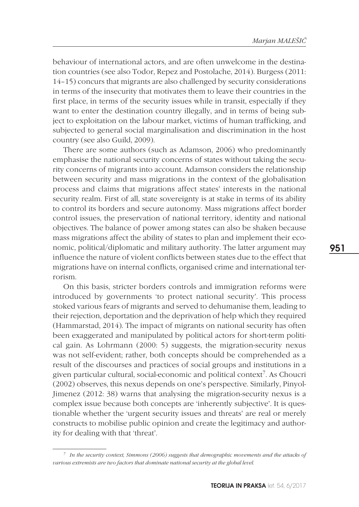behaviour of international actors, and are often unwelcome in the destination countries (see also Todor, Repez and Postolache, 2014). Burgess (2011: 14–15) concurs that migrants are also challenged by security considerations in terms of the insecurity that motivates them to leave their countries in the first place, in terms of the security issues while in transit, especially if they want to enter the destination country illegally, and in terms of being subject to exploitation on the labour market, victims of human trafficking, and subjected to general social marginalisation and discrimination in the host country (see also Guild, 2009).

There are some authors (such as Adamson, 2006) who predominantly emphasise the national security concerns of states without taking the security concerns of migrants into account. Adamson considers the relationship between security and mass migrations in the context of the globalisation process and claims that migrations affect states' interests in the national security realm. First of all, state sovereignty is at stake in terms of its ability to control its borders and secure autonomy. Mass migrations affect border control issues, the preservation of national territory, identity and national objectives. The balance of power among states can also be shaken because mass migrations affect the ability of states to plan and implement their economic, political/diplomatic and military authority. The latter argument may influence the nature of violent conflicts between states due to the effect that migrations have on internal conflicts, organised crime and international terrorism.

On this basis, stricter borders controls and immigration reforms were introduced by governments 'to protect national security'. This process stoked various fears of migrants and served to dehumanise them, leading to their rejection, deportation and the deprivation of help which they required (Hammarstad, 2014). The impact of migrants on national security has often been exaggerated and manipulated by political actors for short-term political gain. As Lohrmann (2000: 5) suggests, the migration-security nexus was not self-evident; rather, both concepts should be comprehended as a result of the discourses and practices of social groups and institutions in a given particular cultural, social-economic and political context7. As Choucri (2002) observes, this nexus depends on one's perspective. Similarly, Pinyol-Jimenez (2012: 38) warns that analysing the migration-security nexus is a complex issue because both concepts are 'inherently subjective'. It is questionable whether the 'urgent security issues and threats' are real or merely constructs to mobilise public opinion and create the legitimacy and authority for dealing with that 'threat'.

*<sup>7</sup> In the security context, Simmons (2006) suggests that demographic movements and the attacks of various extremists are two factors that dominate national security at the global level.*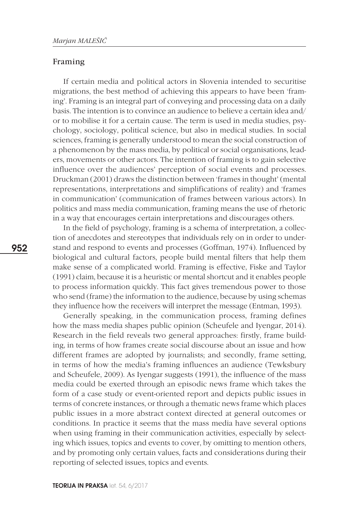## Framing

If certain media and political actors in Slovenia intended to securitise migrations, the best method of achieving this appears to have been 'framing'. Framing is an integral part of conveying and processing data on a daily basis. The intention is to convince an audience to believe a certain idea and/ or to mobilise it for a certain cause. The term is used in media studies, psychology, sociology, political science, but also in medical studies. In social sciences, framing is generally understood to mean the social construction of a phenomenon by the mass media, by political or social organisations, leaders, movements or other actors. The intention of framing is to gain selective influence over the audiences' perception of social events and processes. Druckman (2001) draws the distinction between 'frames in thought' (mental representations, interpretations and simplifications of reality) and 'frames in communication' (communication of frames between various actors). In politics and mass media communication, framing means the use of rhetoric in a way that encourages certain interpretations and discourages others.

In the field of psychology, framing is a schema of interpretation, a collection of anecdotes and stereotypes that individuals rely on in order to understand and respond to events and processes (Goffman, 1974). Influenced by biological and cultural factors, people build mental filters that help them make sense of a complicated world. Framing is effective, Fiske and Taylor (1991) claim, because it is a heuristic or mental shortcut and it enables people to process information quickly. This fact gives tremendous power to those who send (frame) the information to the audience, because by using schemas they influence how the receivers will interpret the message (Entman, 1993).

Generally speaking, in the communication process, framing defines how the mass media shapes public opinion (Scheufele and Iyengar, 2014). Research in the field reveals two general approaches: firstly, frame building, in terms of how frames create social discourse about an issue and how different frames are adopted by journalists; and secondly, frame setting, in terms of how the media's framing influences an audience (Tewksbury and Scheufele, 2009). As Iyengar suggests (1991), the influence of the mass media could be exerted through an episodic news frame which takes the form of a case study or event-oriented report and depicts public issues in terms of concrete instances, or through a thematic news frame which places public issues in a more abstract context directed at general outcomes or conditions. In practice it seems that the mass media have several options when using framing in their communication activities, especially by selecting which issues, topics and events to cover, by omitting to mention others, and by promoting only certain values, facts and considerations during their reporting of selected issues, topics and events.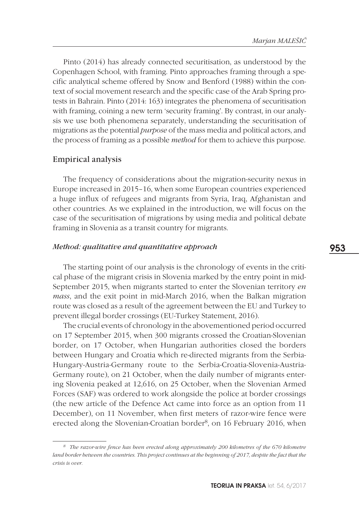Pinto (2014) has already connected securitisation, as understood by the Copenhagen School, with framing. Pinto approaches framing through a specific analytical scheme offered by Snow and Benford (1988) within the context of social movement research and the specific case of the Arab Spring protests in Bahrain. Pinto (2014: 163) integrates the phenomena of securitisation with framing, coining a new term 'security framing'. By contrast, in our analysis we use both phenomena separately, understanding the securitisation of migrations as the potential *purpose* of the mass media and political actors, and the process of framing as a possible *method* for them to achieve this purpose.

## Empirical analysis

The frequency of considerations about the migration-security nexus in Europe increased in 2015–16, when some European countries experienced a huge influx of refugees and migrants from Syria, Iraq, Afghanistan and other countries. As we explained in the introduction, we will focus on the case of the securitisation of migrations by using media and political debate framing in Slovenia as a transit country for migrants.

## *Method: qualitative and quantitative approach*

The starting point of our analysis is the chronology of events in the critical phase of the migrant crisis in Slovenia marked by the entry point in mid-September 2015, when migrants started to enter the Slovenian territory *en mass*, and the exit point in mid-March 2016, when the Balkan migration route was closed as a result of the agreement between the EU and Turkey to prevent illegal border crossings (EU-Turkey Statement, 2016).

The crucial events of chronology in the abovementioned period occurred on 17 September 2015, when 300 migrants crossed the Croatian-Slovenian border, on 17 October, when Hungarian authorities closed the borders between Hungary and Croatia which re-directed migrants from the Serbia-Hungary-Austria-Germany route to the Serbia-Croatia-Slovenia-Austria-Germany route), on 21 October, when the daily number of migrants entering Slovenia peaked at 12,616, on 25 October, when the Slovenian Armed Forces (SAF) was ordered to work alongside the police at border crossings (the new article of the Defence Act came into force as an option from 11 December), on 11 November, when first meters of razor-wire fence were erected along the Slovenian-Croatian border<sup>8</sup>, on 16 February 2016, when

*<sup>8</sup> The razor-wire fence has been erected along approximately 200 kilometres of the 670 kilometre land border between the countries. This project continues at the beginning of 2017, despite the fact that the crisis is over.*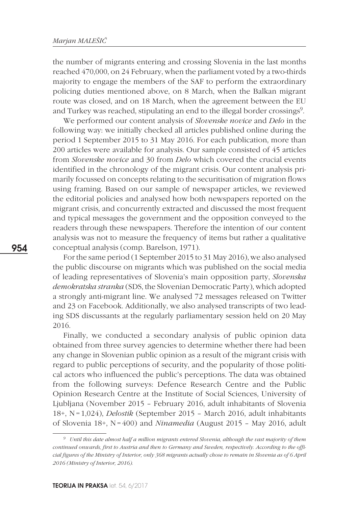the number of migrants entering and crossing Slovenia in the last months reached 470,000, on 24 February, when the parliament voted by a two-thirds majority to engage the members of the SAF to perform the extraordinary policing duties mentioned above, on 8 March, when the Balkan migrant route was closed, and on 18 March, when the agreement between the EU and Turkey was reached, stipulating an end to the illegal border crossings<sup>9</sup>.

We performed our content analysis of *Slovenske novice* and *Delo* in the following way: we initially checked all articles published online during the period 1 September 2015 to 31 May 2016. For each publication, more than 200 articles were available for analysis. Our sample consisted of 45 articles from *Slovenske novice* and 30 from *Delo* which covered the crucial events identified in the chronology of the migrant crisis. Our content analysis primarily focussed on concepts relating to the securitisation of migration flows using framing. Based on our sample of newspaper articles, we reviewed the editorial policies and analysed how both newspapers reported on the migrant crisis, and concurrently extracted and discussed the most frequent and typical messages the government and the opposition conveyed to the readers through these newspapers. Therefore the intention of our content analysis was not to measure the frequency of items but rather a qualitative conceptual analysis (comp. Barelson, 1971).

For the same period (1 September 2015 to 31 May 2016), we also analysed the public discourse on migrants which was published on the social media of leading representatives of Slovenia's main opposition party, *Slovenska demokratska stranka* (SDS, the Slovenian Democratic Party), which adopted a strongly anti-migrant line. We analysed 72 messages released on Twitter and 23 on Facebook. Additionally, we also analysed transcripts of two leading SDS discussants at the regularly parliamentary session held on 20 May 2016.

Finally, we conducted a secondary analysis of public opinion data obtained from three survey agencies to determine whether there had been any change in Slovenian public opinion as a result of the migrant crisis with regard to public perceptions of security, and the popularity of those political actors who influenced the public's perceptions. The data was obtained from the following surveys: Defence Research Centre and the Public Opinion Research Centre at the Institute of Social Sciences, University of Ljubljana (November 2015 – February 2016, adult inhabitants of Slovenia 18+, N=1,024), *Delostik* (September 2015 – March 2016, adult inhabitants of Slovenia 18+, N=400) and *Ninamedia* (August 2015 – May 2016, adult

*<sup>9</sup> Until this date almost half a million migrants entered Slovenia, although the vast majority of them continued onwards, first to Austria and then to Germany and Sweden, respectively. According to the official figures of the Ministry of Interior, only 368 migrants actually chose to remain in Slovenia as of 6 April 2016 (Ministry of Interior, 2016).*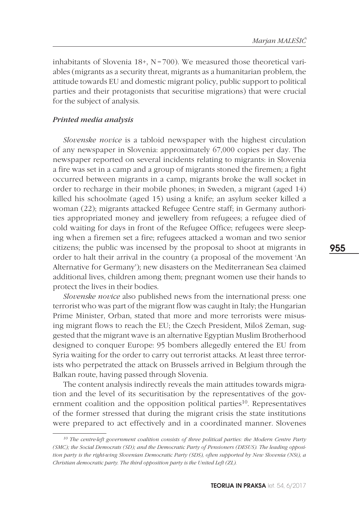inhabitants of Slovenia  $18+$ , N=700). We measured those theoretical variables (migrants as a security threat, migrants as a humanitarian problem, the attitude towards EU and domestic migrant policy, public support to political parties and their protagonists that securitise migrations) that were crucial for the subject of analysis.

### *Printed media analysis*

*Slovenske novice* is a tabloid newspaper with the highest circulation of any newspaper in Slovenia: approximately 67,000 copies per day. The newspaper reported on several incidents relating to migrants: in Slovenia a fire was set in a camp and a group of migrants stoned the firemen; a fight occurred between migrants in a camp, migrants broke the wall socket in order to recharge in their mobile phones; in Sweden, a migrant (aged 14) killed his schoolmate (aged 15) using a knife; an asylum seeker killed a woman (22); migrants attacked Refugee Centre staff; in Germany authorities appropriated money and jewellery from refugees; a refugee died of cold waiting for days in front of the Refugee Office; refugees were sleeping when a firemen set a fire; refugees attacked a woman and two senior citizens; the public was incensed by the proposal to shoot at migrants in order to halt their arrival in the country (a proposal of the movement 'An Alternative for Germany'); new disasters on the Mediterranean Sea claimed additional lives, children among them; pregnant women use their hands to protect the lives in their bodies.

*Slovenske novice* also published news from the international press: one terrorist who was part of the migrant flow was caught in Italy; the Hungarian Prime Minister, Orban, stated that more and more terrorists were misusing migrant flows to reach the EU; the Czech President, Miloš Zeman, suggested that the migrant wave is an alternative Egyptian Muslim Brotherhood designed to conquer Europe: 95 bombers allegedly entered the EU from Syria waiting for the order to carry out terrorist attacks. At least three terrorists who perpetrated the attack on Brussels arrived in Belgium through the Balkan route, having passed through Slovenia.

The content analysis indirectly reveals the main attitudes towards migration and the level of its securitisation by the representatives of the government coalition and the opposition political parties<sup>10</sup>. Representatives of the former stressed that during the migrant crisis the state institutions were prepared to act effectively and in a coordinated manner. Slovenes

*<sup>10</sup> The centre-left government coalition consists of three political parties: the Modern Centre Party (SMC); the Social Democrats (SD); and the Democratic Party of Pensioners (DESUS). The leading opposition party is the right-wing Slovenian Democratic Party (SDS), often supported by New Slovenia (NSi), a Christian democratic party. The third opposition party is the United Left (ZL).*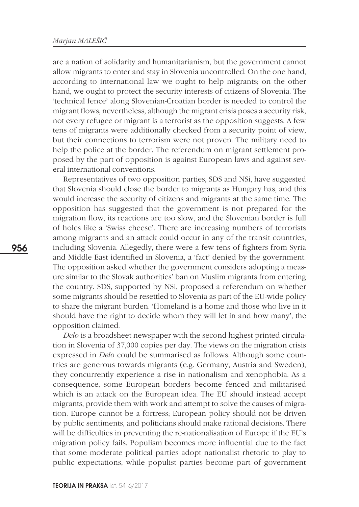are a nation of solidarity and humanitarianism, but the government cannot allow migrants to enter and stay in Slovenia uncontrolled. On the one hand, according to international law we ought to help migrants; on the other hand, we ought to protect the security interests of citizens of Slovenia. The 'technical fence' along Slovenian-Croatian border is needed to control the migrant flows, nevertheless, although the migrant crisis poses a security risk, not every refugee or migrant is a terrorist as the opposition suggests. A few tens of migrants were additionally checked from a security point of view, but their connections to terrorism were not proven. The military need to help the police at the border. The referendum on migrant settlement proposed by the part of opposition is against European laws and against several international conventions.

Representatives of two opposition parties, SDS and NSi, have suggested that Slovenia should close the border to migrants as Hungary has, and this would increase the security of citizens and migrants at the same time. The opposition has suggested that the government is not prepared for the migration flow, its reactions are too slow, and the Slovenian border is full of holes like a 'Swiss cheese'. There are increasing numbers of terrorists among migrants and an attack could occur in any of the transit countries, including Slovenia. Allegedly, there were a few tens of fighters from Syria and Middle East identified in Slovenia, a 'fact' denied by the government. The opposition asked whether the government considers adopting a measure similar to the Slovak authorities' ban on Muslim migrants from entering the country. SDS, supported by NSi, proposed a referendum on whether some migrants should be resettled to Slovenia as part of the EU-wide policy to share the migrant burden. 'Homeland is a home and those who live in it should have the right to decide whom they will let in and how many', the opposition claimed.

*Delo* is a broadsheet newspaper with the second highest printed circulation in Slovenia of 37,000 copies per day. The views on the migration crisis expressed in *Delo* could be summarised as follows. Although some countries are generous towards migrants (e.g. Germany, Austria and Sweden), they concurrently experience a rise in nationalism and xenophobia. As a consequence, some European borders become fenced and militarised which is an attack on the European idea. The EU should instead accept migrants, provide them with work and attempt to solve the causes of migration. Europe cannot be a fortress; European policy should not be driven by public sentiments, and politicians should make rational decisions. There will be difficulties in preventing the re-nationalisation of Europe if the EU's migration policy fails. Populism becomes more influential due to the fact that some moderate political parties adopt nationalist rhetoric to play to public expectations, while populist parties become part of government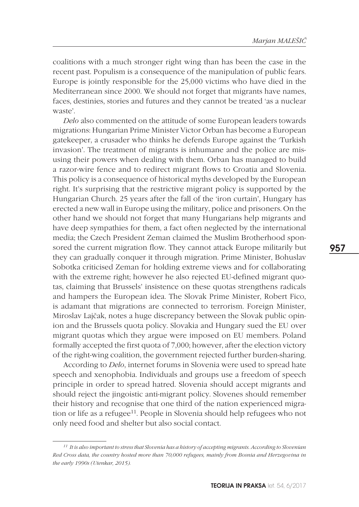coalitions with a much stronger right wing than has been the case in the recent past. Populism is a consequence of the manipulation of public fears. Europe is jointly responsible for the 25,000 victims who have died in the Mediterranean since 2000. We should not forget that migrants have names, faces, destinies, stories and futures and they cannot be treated 'as a nuclear waste'.

*Delo* also commented on the attitude of some European leaders towards migrations: Hungarian Prime Minister Victor Orban has become a European gatekeeper, a crusader who thinks he defends Europe against the 'Turkish invasion'. The treatment of migrants is inhumane and the police are misusing their powers when dealing with them. Orban has managed to build a razor-wire fence and to redirect migrant flows to Croatia and Slovenia. This policy is a consequence of historical myths developed by the European right. It's surprising that the restrictive migrant policy is supported by the Hungarian Church. 25 years after the fall of the 'iron curtain', Hungary has erected a new wall in Europe using the military, police and prisoners. On the other hand we should not forget that many Hungarians help migrants and have deep sympathies for them, a fact often neglected by the international media; the Czech President Zeman claimed the Muslim Brotherhood sponsored the current migration flow. They cannot attack Europe militarily but they can gradually conquer it through migration. Prime Minister, Bohuslav Sobotka criticised Zeman for holding extreme views and for collaborating with the extreme right; however he also rejected EU-defined migrant quotas, claiming that Brussels' insistence on these quotas strengthens radicals and hampers the European idea. The Slovak Prime Minister, Robert Fico, is adamant that migrations are connected to terrorism. Foreign Minister, Miroslav Lajčak, notes a huge discrepancy between the Slovak public opinion and the Brussels quota policy. Slovakia and Hungary sued the EU over migrant quotas which they argue were imposed on EU members. Poland formally accepted the first quota of 7,000; however, after the election victory of the right-wing coalition, the government rejected further burden-sharing.

According to *Delo*, internet forums in Slovenia were used to spread hate speech and xenophobia. Individuals and groups use a freedom of speech principle in order to spread hatred. Slovenia should accept migrants and should reject the jingoistic anti-migrant policy. Slovenes should remember their history and recognise that one third of the nation experienced migration or life as a refugee<sup>11</sup>. People in Slovenia should help refugees who not only need food and shelter but also social contact.

*<sup>11</sup> It is also important to stress that Slovenia has a history of accepting migrants. According to Slovenian Red Cross data, the country hosted more than 70,000 refugees, mainly from Bosnia and Herzegovina in the early 1990s (Utenkar, 2015).*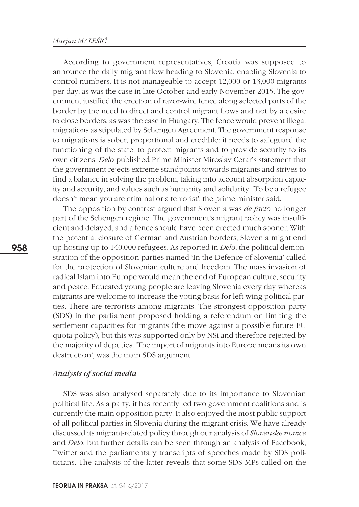According to government representatives, Croatia was supposed to announce the daily migrant flow heading to Slovenia, enabling Slovenia to control numbers. It is not manageable to accept 12,000 or 13,000 migrants per day, as was the case in late October and early November 2015. The government justified the erection of razor-wire fence along selected parts of the border by the need to direct and control migrant flows and not by a desire to close borders, as was the case in Hungary. The fence would prevent illegal migrations as stipulated by Schengen Agreement. The government response to migrations is sober, proportional and credible: it needs to safeguard the functioning of the state, to protect migrants and to provide security to its own citizens. *Delo* published Prime Minister Miroslav Cerar's statement that the government rejects extreme standpoints towards migrants and strives to find a balance in solving the problem, taking into account absorption capacity and security, and values such as humanity and solidarity. 'To be a refugee doesn't mean you are criminal or a terrorist', the prime minister said.

The opposition by contrast argued that Slovenia was *de facto* no longer part of the Schengen regime. The government's migrant policy was insufficient and delayed, and a fence should have been erected much sooner. With the potential closure of German and Austrian borders, Slovenia might end up hosting up to 140,000 refugees. As reported in *Delo*, the political demonstration of the opposition parties named 'In the Defence of Slovenia' called for the protection of Slovenian culture and freedom. The mass invasion of radical Islam into Europe would mean the end of European culture, security and peace. Educated young people are leaving Slovenia every day whereas migrants are welcome to increase the voting basis for left-wing political parties. There are terrorists among migrants. The strongest opposition party (SDS) in the parliament proposed holding a referendum on limiting the settlement capacities for migrants (the move against a possible future EU quota policy), but this was supported only by NSi and therefore rejected by the majority of deputies. 'The import of migrants into Europe means its own destruction', was the main SDS argument.

#### *Analysis of social media*

SDS was also analysed separately due to its importance to Slovenian political life. As a party, it has recently led two government coalitions and is currently the main opposition party. It also enjoyed the most public support of all political parties in Slovenia during the migrant crisis. We have already discussed its migrant-related policy through our analysis of *Slovenske novice* and *Delo*, but further details can be seen through an analysis of Facebook, Twitter and the parliamentary transcripts of speeches made by SDS politicians. The analysis of the latter reveals that some SDS MPs called on the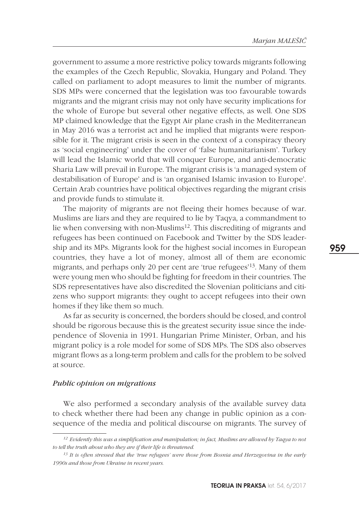government to assume a more restrictive policy towards migrants following the examples of the Czech Republic, Slovakia, Hungary and Poland. They called on parliament to adopt measures to limit the number of migrants. SDS MPs were concerned that the legislation was too favourable towards migrants and the migrant crisis may not only have security implications for the whole of Europe but several other negative effects, as well. One SDS MP claimed knowledge that the Egypt Air plane crash in the Mediterranean in May 2016 was a terrorist act and he implied that migrants were responsible for it. The migrant crisis is seen in the context of a conspiracy theory as 'social engineering' under the cover of 'false humanitarianism'. Turkey will lead the Islamic world that will conquer Europe, and anti-democratic Sharia Law will prevail in Europe. The migrant crisis is 'a managed system of destabilisation of Europe' and is 'an organised Islamic invasion to Europe'. Certain Arab countries have political objectives regarding the migrant crisis and provide funds to stimulate it.

The majority of migrants are not fleeing their homes because of war. Muslims are liars and they are required to lie by Taqya, a commandment to lie when conversing with non-Muslims<sup>12</sup>. This discrediting of migrants and refugees has been continued on Facebook and Twitter by the SDS leadership and its MPs. Migrants look for the highest social incomes in European countries, they have a lot of money, almost all of them are economic migrants, and perhaps only 20 per cent are 'true refugees'13. Many of them were young men who should be fighting for freedom in their countries. The SDS representatives have also discredited the Slovenian politicians and citizens who support migrants: they ought to accept refugees into their own homes if they like them so much.

As far as security is concerned, the borders should be closed, and control should be rigorous because this is the greatest security issue since the independence of Slovenia in 1991. Hungarian Prime Minister, Orban, and his migrant policy is a role model for some of SDS MPs. The SDS also observes migrant flows as a long-term problem and calls for the problem to be solved at source.

## *Public opinion on migrations*

We also performed a secondary analysis of the available survey data to check whether there had been any change in public opinion as a consequence of the media and political discourse on migrants. The survey of

*<sup>12</sup> Evidently this was a simplification and manipulation; in fact, Muslims are allowed by Taqya to not to tell the truth about who they are if their life is threatened.*

*<sup>13</sup> It is often stressed that the 'true refugees' were those from Bosnia and Herzegovina in the early 1990s and those from Ukraine in recent years.*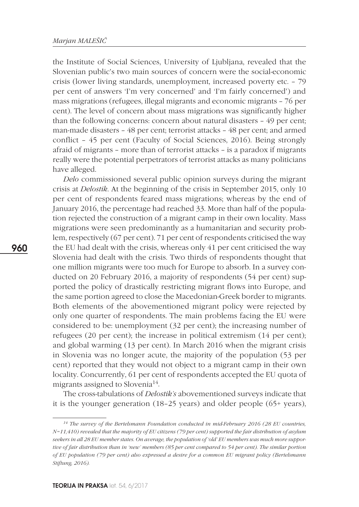the Institute of Social Sciences, University of Ljubljana, revealed that the Slovenian public's two main sources of concern were the social-economic crisis (lower living standards, unemployment, increased poverty etc. – 79 per cent of answers 'I'm very concerned' and 'I'm fairly concerned') and mass migrations (refugees, illegal migrants and economic migrants – 76 per cent). The level of concern about mass migrations was significantly higher than the following concerns: concern about natural disasters – 49 per cent; man-made disasters – 48 per cent; terrorist attacks – 48 per cent; and armed conflict – 45 per cent (Faculty of Social Sciences, 2016). Being strongly afraid of migrants – more than of terrorist attacks – is a paradox if migrants really were the potential perpetrators of terrorist attacks as many politicians have alleged.

*Delo* commissioned several public opinion surveys during the migrant crisis at *Delostik*. At the beginning of the crisis in September 2015, only 10 per cent of respondents feared mass migrations; whereas by the end of January 2016, the percentage had reached 33. More than half of the population rejected the construction of a migrant camp in their own locality. Mass migrations were seen predominantly as a humanitarian and security problem, respectively (67 per cent). 71 per cent of respondents criticised the way the EU had dealt with the crisis, whereas only 41 per cent criticised the way Slovenia had dealt with the crisis. Two thirds of respondents thought that one million migrants were too much for Europe to absorb. In a survey conducted on 20 February 2016, a majority of respondents (54 per cent) supported the policy of drastically restricting migrant flows into Europe, and the same portion agreed to close the Macedonian-Greek border to migrants. Both elements of the abovementioned migrant policy were rejected by only one quarter of respondents. The main problems facing the EU were considered to be: unemployment (32 per cent); the increasing number of refugees (20 per cent); the increase in political extremism (14 per cent); and global warming (13 per cent). In March 2016 when the migrant crisis in Slovenia was no longer acute, the majority of the population (53 per cent) reported that they would not object to a migrant camp in their own locality. Concurrently, 61 per cent of respondents accepted the EU quota of migrants assigned to Slovenia<sup>14</sup>.

The cross-tabulations of *Delostik's* abovementioned surveys indicate that it is the younger generation (18–25 years) and older people (65+ years),

*<sup>14</sup> The survey of the Bertelsmann Foundation conducted in mid-February 2016 (28 EU countries, N=11,410) revealed that the majority of EU citizens (79 per cent) supported the fair distribution of asylum seekers in all 28 EU member states. On average, the population of 'old' EU members was much more supportive of fair distribution than in 'new' members (85 per cent compared to 54 per cent). The similar portion of EU population (79 per cent) also expressed a desire for a common EU migrant policy (Bertelsmann Stiftung, 2016).*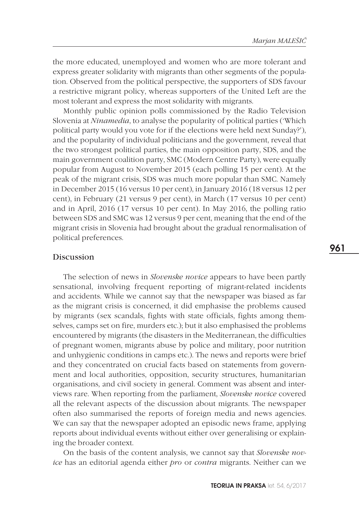the more educated, unemployed and women who are more tolerant and express greater solidarity with migrants than other segments of the population. Observed from the political perspective, the supporters of SDS favour a restrictive migrant policy, whereas supporters of the United Left are the most tolerant and express the most solidarity with migrants.

Monthly public opinion polls commissioned by the Radio Television Slovenia at *Ninamedia*, to analyse the popularity of political parties ('Which political party would you vote for if the elections were held next Sunday?'), and the popularity of individual politicians and the government, reveal that the two strongest political parties, the main opposition party, SDS, and the main government coalition party, SMC (Modern Centre Party), were equally popular from August to November 2015 (each polling 15 per cent). At the peak of the migrant crisis, SDS was much more popular than SMC. Namely in December 2015 (16 versus 10 per cent), in January 2016 (18 versus 12 per cent), in February (21 versus 9 per cent), in March (17 versus 10 per cent) and in April, 2016 (17 versus 10 per cent). In May 2016, the polling ratio between SDS and SMC was 12 versus 9 per cent, meaning that the end of the migrant crisis in Slovenia had brought about the gradual renormalisation of political preferences.

## Discussion

The selection of news in *Slovenske novice* appears to have been partly sensational, involving frequent reporting of migrant-related incidents and accidents. While we cannot say that the newspaper was biased as far as the migrant crisis is concerned, it did emphasise the problems caused by migrants (sex scandals, fights with state officials, fights among themselves, camps set on fire, murders etc.); but it also emphasised the problems encountered by migrants (the disasters in the Mediterranean, the difficulties of pregnant women, migrants abuse by police and military, poor nutrition and unhygienic conditions in camps etc.). The news and reports were brief and they concentrated on crucial facts based on statements from government and local authorities, opposition, security structures, humanitarian organisations, and civil society in general. Comment was absent and interviews rare. When reporting from the parliament, *Slovenske novice* covered all the relevant aspects of the discussion about migrants. The newspaper often also summarised the reports of foreign media and news agencies. We can say that the newspaper adopted an episodic news frame, applying reports about individual events without either over generalising or explaining the broader context.

On the basis of the content analysis, we cannot say that *Slovenske novice* has an editorial agenda either *pro* or *contra* migrants. Neither can we 961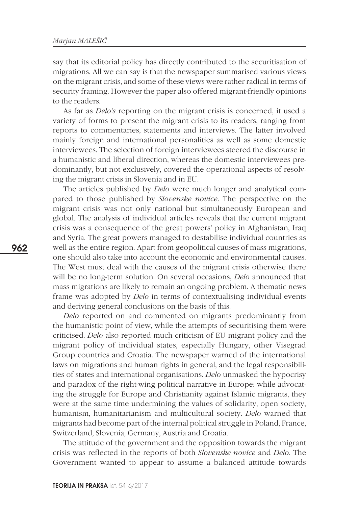say that its editorial policy has directly contributed to the securitisation of migrations. All we can say is that the newspaper summarised various views on the migrant crisis, and some of these views were rather radical in terms of security framing. However the paper also offered migrant-friendly opinions to the readers.

As far as *Delo's* reporting on the migrant crisis is concerned, it used a variety of forms to present the migrant crisis to its readers, ranging from reports to commentaries, statements and interviews. The latter involved mainly foreign and international personalities as well as some domestic interviewees. The selection of foreign interviewees steered the discourse in a humanistic and liberal direction, whereas the domestic interviewees predominantly, but not exclusively, covered the operational aspects of resolving the migrant crisis in Slovenia and in EU.

The articles published by *Delo* were much longer and analytical compared to those published by *Slovenske novice*. The perspective on the migrant crisis was not only national but simultaneously European and global. The analysis of individual articles reveals that the current migrant crisis was a consequence of the great powers' policy in Afghanistan, Iraq and Syria. The great powers managed to destabilise individual countries as well as the entire region. Apart from geopolitical causes of mass migrations, one should also take into account the economic and environmental causes. The West must deal with the causes of the migrant crisis otherwise there will be no long-term solution. On several occasions, *Delo* announced that mass migrations are likely to remain an ongoing problem. A thematic news frame was adopted by *Delo* in terms of contextualising individual events and deriving general conclusions on the basis of this.

*Delo* reported on and commented on migrants predominantly from the humanistic point of view, while the attempts of securitising them were criticised. *Delo* also reported much criticism of EU migrant policy and the migrant policy of individual states, especially Hungary, other Visegrad Group countries and Croatia. The newspaper warned of the international laws on migrations and human rights in general, and the legal responsibilities of states and international organisations. *Delo* unmasked the hypocrisy and paradox of the right-wing political narrative in Europe: while advocating the struggle for Europe and Christianity against Islamic migrants, they were at the same time undermining the values of solidarity, open society, humanism, humanitarianism and multicultural society. *Delo* warned that migrants had become part of the internal political struggle in Poland, France, Switzerland, Slovenia, Germany, Austria and Croatia.

The attitude of the government and the opposition towards the migrant crisis was reflected in the reports of both *Slovenske novice* and *Delo*. The Government wanted to appear to assume a balanced attitude towards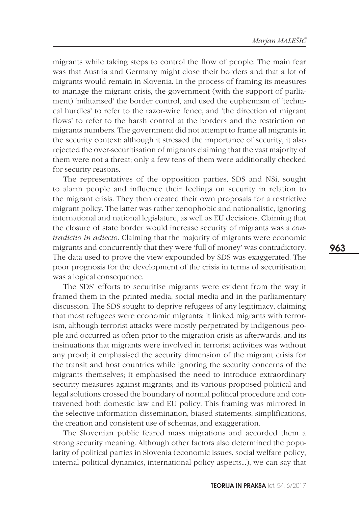migrants while taking steps to control the flow of people. The main fear was that Austria and Germany might close their borders and that a lot of migrants would remain in Slovenia. In the process of framing its measures to manage the migrant crisis, the government (with the support of parliament) 'militarised' the border control, and used the euphemism of 'technical hurdles' to refer to the razor-wire fence, and 'the direction of migrant flows' to refer to the harsh control at the borders and the restriction on migrants numbers. The government did not attempt to frame all migrants in the security context: although it stressed the importance of security, it also rejected the over-securitisation of migrants claiming that the vast majority of them were not a threat; only a few tens of them were additionally checked for security reasons.

The representatives of the opposition parties, SDS and NSi, sought to alarm people and influence their feelings on security in relation to the migrant crisis. They then created their own proposals for a restrictive migrant policy. The latter was rather xenophobic and nationalistic, ignoring international and national legislature, as well as EU decisions. Claiming that the closure of state border would increase security of migrants was a *contradictio in adiecto*. Claiming that the majority of migrants were economic migrants and concurrently that they were 'full of money' was contradictory. The data used to prove the view expounded by SDS was exaggerated. The poor prognosis for the development of the crisis in terms of securitisation was a logical consequence.

The SDS' efforts to securitise migrants were evident from the way it framed them in the printed media, social media and in the parliamentary discussion. The SDS sought to deprive refugees of any legitimacy, claiming that most refugees were economic migrants; it linked migrants with terrorism, although terrorist attacks were mostly perpetrated by indigenous people and occurred as often prior to the migration crisis as afterwards, and its insinuations that migrants were involved in terrorist activities was without any proof; it emphasised the security dimension of the migrant crisis for the transit and host countries while ignoring the security concerns of the migrants themselves; it emphasised the need to introduce extraordinary security measures against migrants; and its various proposed political and legal solutions crossed the boundary of normal political procedure and contravened both domestic law and EU policy. This framing was mirrored in the selective information dissemination, biased statements, simplifications, the creation and consistent use of schemas, and exaggeration.

The Slovenian public feared mass migrations and accorded them a strong security meaning. Although other factors also determined the popularity of political parties in Slovenia (economic issues, social welfare policy, internal political dynamics, international policy aspects…), we can say that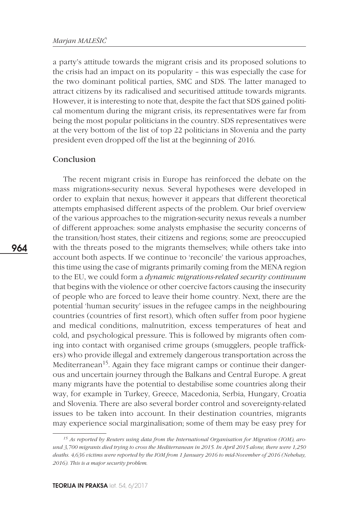a party's attitude towards the migrant crisis and its proposed solutions to the crisis had an impact on its popularity – this was especially the case for the two dominant political parties, SMC and SDS. The latter managed to attract citizens by its radicalised and securitised attitude towards migrants. However, it is interesting to note that, despite the fact that SDS gained political momentum during the migrant crisis, its representatives were far from being the most popular politicians in the country. SDS representatives were at the very bottom of the list of top 22 politicians in Slovenia and the party president even dropped off the list at the beginning of 2016.

## Conclusion

The recent migrant crisis in Europe has reinforced the debate on the mass migrations-security nexus. Several hypotheses were developed in order to explain that nexus; however it appears that different theoretical attempts emphasised different aspects of the problem. Our brief overview of the various approaches to the migration-security nexus reveals a number of different approaches: some analysts emphasise the security concerns of the transition/host states, their citizens and regions; some are preoccupied with the threats posed to the migrants themselves; while others take into account both aspects. If we continue to 'reconcile' the various approaches, this time using the case of migrants primarily coming from the MENA region to the EU, we could form a *dynamic migrations-related security continuum* that begins with the violence or other coercive factors causing the insecurity of people who are forced to leave their home country. Next, there are the potential 'human security' issues in the refugee camps in the neighbouring countries (countries of first resort), which often suffer from poor hygiene and medical conditions, malnutrition, excess temperatures of heat and cold, and psychological pressure. This is followed by migrants often coming into contact with organised crime groups (smugglers, people traffickers) who provide illegal and extremely dangerous transportation across the Mediterranean<sup>15</sup>. Again they face migrant camps or continue their dangerous and uncertain journey through the Balkans and Central Europe. A great many migrants have the potential to destabilise some countries along their way, for example in Turkey, Greece, Macedonia, Serbia, Hungary, Croatia and Slovenia. There are also several border control and sovereignty-related issues to be taken into account. In their destination countries, migrants may experience social marginalisation; some of them may be easy prey for

*<sup>15</sup> As reported by Reuters using data from the International Organisation for Migration (IOM), around 3,700 migrants died trying to cross the Mediterranean in 2015. In April 2015 alone, there were 1,250 deaths. 4,636 victims were reported by the IOM from 1 January 2016 to mid-November of 2016 (Nebehay, 2016). This is a major security problem.*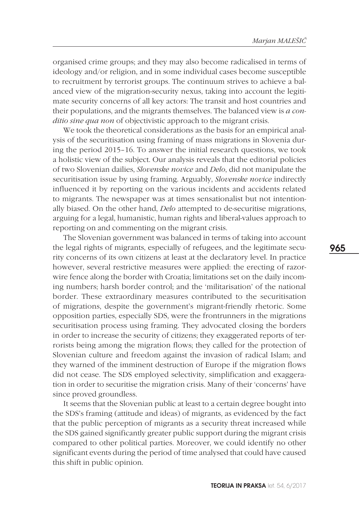organised crime groups; and they may also become radicalised in terms of ideology and/or religion, and in some individual cases become susceptible to recruitment by terrorist groups. The continuum strives to achieve a balanced view of the migration-security nexus, taking into account the legitimate security concerns of all key actors: The transit and host countries and their populations, and the migrants themselves. The balanced view is *a conditio sine qua non* of objectivistic approach to the migrant crisis.

We took the theoretical considerations as the basis for an empirical analysis of the securitisation using framing of mass migrations in Slovenia during the period 2015–16. To answer the initial research questions, we took a holistic view of the subject. Our analysis reveals that the editorial policies of two Slovenian dailies, *Slovenske novice* and *Delo*, did not manipulate the securitisation issue by using framing. Arguably, *Slovenske novice* indirectly influenced it by reporting on the various incidents and accidents related to migrants. The newspaper was at times sensationalist but not intentionally biased. On the other hand, *Delo* attempted to de-securitise migrations, arguing for a legal, humanistic, human rights and liberal-values approach to reporting on and commenting on the migrant crisis.

The Slovenian government was balanced in terms of taking into account the legal rights of migrants, especially of refugees, and the legitimate security concerns of its own citizens at least at the declaratory level. In practice however, several restrictive measures were applied: the erecting of razorwire fence along the border with Croatia; limitations set on the daily incoming numbers; harsh border control; and the 'militarisation' of the national border. These extraordinary measures contributed to the securitisation of migrations, despite the government's migrant-friendly rhetoric. Some opposition parties, especially SDS, were the frontrunners in the migrations securitisation process using framing. They advocated closing the borders in order to increase the security of citizens; they exaggerated reports of terrorists being among the migration flows; they called for the protection of Slovenian culture and freedom against the invasion of radical Islam; and they warned of the imminent destruction of Europe if the migration flows did not cease. The SDS employed selectivity, simplification and exaggeration in order to securitise the migration crisis. Many of their 'concerns' have since proved groundless.

It seems that the Slovenian public at least to a certain degree bought into the SDS's framing (attitude and ideas) of migrants, as evidenced by the fact that the public perception of migrants as a security threat increased while the SDS gained significantly greater public support during the migrant crisis compared to other political parties. Moreover, we could identify no other significant events during the period of time analysed that could have caused this shift in public opinion.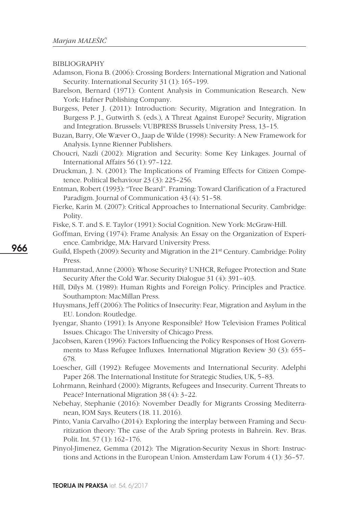#### BIBLIOGRAPHY

- Adamson, Fiona B. (2006): Crossing Borders: International Migration and National Security. International Security 31 (1): 165–199.
- Barelson, Bernard (1971): Content Analysis in Communication Research. New York: Hafner Publishing Company.

Burgess, Peter J. (2011): Introduction: Security, Migration and Integration. In Burgess P. J., Gutwirth S. (eds.), A Threat Against Europe? Security, Migration and Integration. Brussels: VUBPRESS Brussels University Press, 13–15.

- Buzan, Barry, Ole Wæver O., Jaap de Wilde (1998): Security: A New Framework for Analysis. Lynne Rienner Publishers.
- Choucri, Nazli (2002): Migration and Security: Some Key Linkages. Journal of International Affairs 56 (1): 97–122.
- Druckman, J. N. (2001): The Implications of Framing Effects for Citizen Competence. Political Behaviour 23 (3): 225–256.
- Entman, Robert (1993): "Tree Beard". Framing: Toward Clarification of a Fractured Paradigm. Journal of Communication 43 (4): 51–58.
- Fierke, Karin M. (2007): Critical Approaches to International Security. Cambridge: Polity.
- Fiske, S. T. and S. E. Taylor (1991): Social Cognition. New York: McGraw-Hill.
- Goffman, Erving (1974): Frame Analysis: An Essay on the Organization of Experience. Cambridge, MA: Harvard University Press.
- Guild, Elspeth (2009): Security and Migration in the 21st Century. Cambridge: Polity Press.
- Hammarstad, Anne (2000): Whose Security? UNHCR, Refugee Protection and State Security After the Cold War. Security Dialogue 31 (4): 391–403.
- Hill, Dilys M. (1989): Human Rights and Foreign Policy. Principles and Practice. Southampton: MacMillan Press.
- Huysmans, Jeff (2006): The Politics of Insecurity: Fear, Migration and Asylum in the EU. London: Routledge.
- Iyengar, Shanto (1991): Is Anyone Responsible? How Television Frames Political Issues. Chicago: The University of Chicago Press.
- Jacobsen, Karen (1996): Factors Influencing the Policy Responses of Host Governments to Mass Refugee Influxes. International Migration Review 30 (3): 655– 678.
- Loescher, Gill (1992): Refugee Movements and International Security. Adelphi Paper 268. The International Institute for Strategic Studies, UK, 5–83.
- Lohrmann, Reinhard (2000): Migrants, Refugees and Insecurity. Current Threats to Peace? International Migration 38 (4): 3–22.
- Nebehay, Stephanie (2016): November Deadly for Migrants Crossing Mediterranean, IOM Says. Reuters (18. 11. 2016).
- Pinto, Vania Carvalho (2014): Exploring the interplay between Framing and Securitization theory: The case of the Arab Spring protests in Bahrein. Rev. Bras. Polit. Int. 57 (1): 162–176.
- Pinyol-Jimenez, Gemma (2012): The Migration-Security Nexus in Short: Instructions and Actions in the European Union. Amsterdam Law Forum 4 (1): 36–57.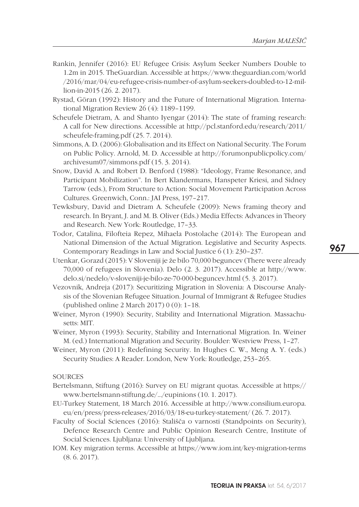- Rankin, Jennifer (2016): EU Refugee Crisis: Asylum Seeker Numbers Double to 1.2m in 2015. TheGuardian. Accessible at https://www.theguardian.com/world /2016/mar/04/eu-refugee-crisis-number-of-asylum-seekers-doubled-to-12-million-in-2015 (26. 2. 2017).
- Rystad, Göran (1992): History and the Future of International Migration. International Migration Review 26 (4): 1189–1199.
- Scheufele Dietram, A. and Shanto Iyengar (2014): The state of framing research: A call for New directions. Accessible at http://pcl.stanford.edu/research/2011/ scheufele-framing.pdf (25. 7. 2014).
- Simmons, A. D. (2006): Globalisation and its Effect on National Security. The Forum on Public Policy. Arnold, M. D. Accessible at http://forumonpublicpolicy.com/ archivesum07/simmons.pdf (15. 3. 2014).
- Snow, David A. and Robert D. Benford (1988): "Ideology, Frame Resonance, and Participant Mobilization". In Bert Klandermans, Hanspeter Kriesi, and Sidney Tarrow (eds.), From Structure to Action: Social Movement Participation Across Cultures. Greenwich, Conn.: JAI Press, 197–217.
- Tewksbury, David and Dietram A. Scheufele (2009): News framing theory and research. In Bryant, J. and M. B. Oliver (Eds.) Media Effects: Advances in Theory and Research. New York: Routledge, 17–33.
- Todor, Catalina, Filofteia Repez, Mihaela Postolache (2014): The European and National Dimension of the Actual Migration. Legislative and Security Aspects. Contemporary Readings in Law and Social Justice 6 (1): 230–237.
- Utenkar, Gorazd (2015): V Sloveniji je že bilo 70,000 beguncev (There were already 70,000 of refugees in Slovenia). Delo (2. 3. 2017). Accessible at http://www. delo.si/nedelo/v-sloveniji-je-bilo-ze-70-000-beguncev.html (5. 3. 2017).
- Vezovnik, Andreja (2017): Securitizing Migration in Slovenia: A Discourse Analysis of the Slovenian Refugee Situation. Journal of Immigrant & Refugee Studies (published online 2 March 2017) 0 (0): 1–18.
- Weiner, Myron (1990): Security, Stability and International Migration. Massachusetts: MIT.
- Weiner, Myron (1993): Security, Stability and International Migration. In. Weiner M. (ed.) International Migration and Security. Boulder: Westview Press, 1–27.
- Weiner, Myron (2011): Redefining Security. In Hughes C. W., Meng A. Y. (eds.) Security Studies: A Reader. London, New York: Routledge, 253–265.

**SOURCES** 

- Bertelsmann, Stiftung (2016): Survey on EU migrant quotas. Accessible at https:// www.bertelsmann-stiftung.de/…/eupinions (10. 1. 2017).
- EU-Turkey Statement, 18 March 2016. Accessible at http://www.consilium.europa. eu/en/press/press-releases/2016/03/18-eu-turkey-statement/ (26. 7. 2017).
- Faculty of Social Sciences (2016): Stališča o varnosti (Standpoints on Security), Defence Research Centre and Public Opinion Research Centre, Institute of Social Sciences. Ljubljana: University of Ljubljana.
- IOM. Key migration terms. Accessible at https://www.iom.int/key-migration-terms (8. 6. 2017).

967